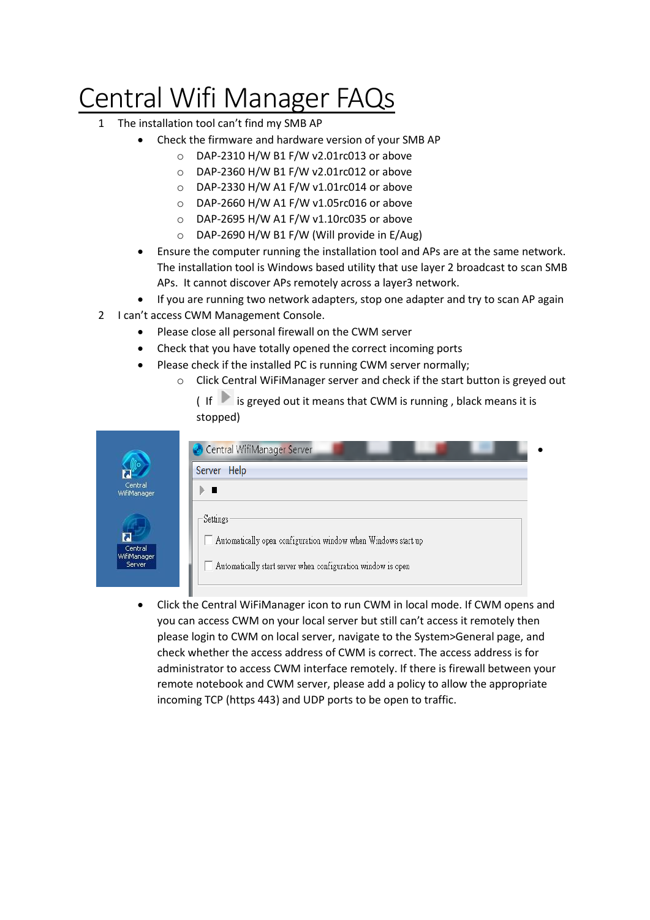## Central Wifi Manager FAQs

- 1 The installation tool can't find my SMB AP
	- Check the firmware and hardware version of your SMB AP
		- o DAP-2310 H/W B1 F/W v2.01rc013 or above
		- o DAP-2360 H/W B1 F/W v2.01rc012 or above
		- o DAP-2330 H/W A1 F/W v1.01rc014 or above
		- o DAP-2660 H/W A1 F/W v1.05rc016 or above
		- o DAP-2695 H/W A1 F/W v1.10rc035 or above
		- o DAP-2690 H/W B1 F/W (Will provide in E/Aug)
	- Ensure the computer running the installation tool and APs are at the same network. The installation tool is Windows based utility that use layer 2 broadcast to scan SMB APs. It cannot discover APs remotely across a layer3 network.
	- If you are running two network adapters, stop one adapter and try to scan AP again
- 2 I can't access CWM Management Console.

I

- Please close all personal firewall on the CWM server
- Check that you have totally opened the correct incoming ports
- Please check if the installed PC is running CWM server normally;
	- o Click Central WiFiManager server and check if the start button is greyed out

 $($  If is greved out it means that CWM is running, black means it is stopped)

| Central<br>WifiManager,                                                                 |  |
|-----------------------------------------------------------------------------------------|--|
|                                                                                         |  |
| Settings                                                                                |  |
|                                                                                         |  |
| Automatically open configuration window when Windows start up<br>Central<br>WifiManager |  |

 Click the Central WiFiManager icon to run CWM in local mode. If CWM opens and you can access CWM on your local server but still can't access it remotely then please login to CWM on local server, navigate to the System>General page, and check whether the access address of CWM is correct. The access address is for administrator to access CWM interface remotely. If there is firewall between your remote notebook and CWM server, please add a policy to allow the appropriate incoming TCP (https 443) and UDP ports to be open to traffic.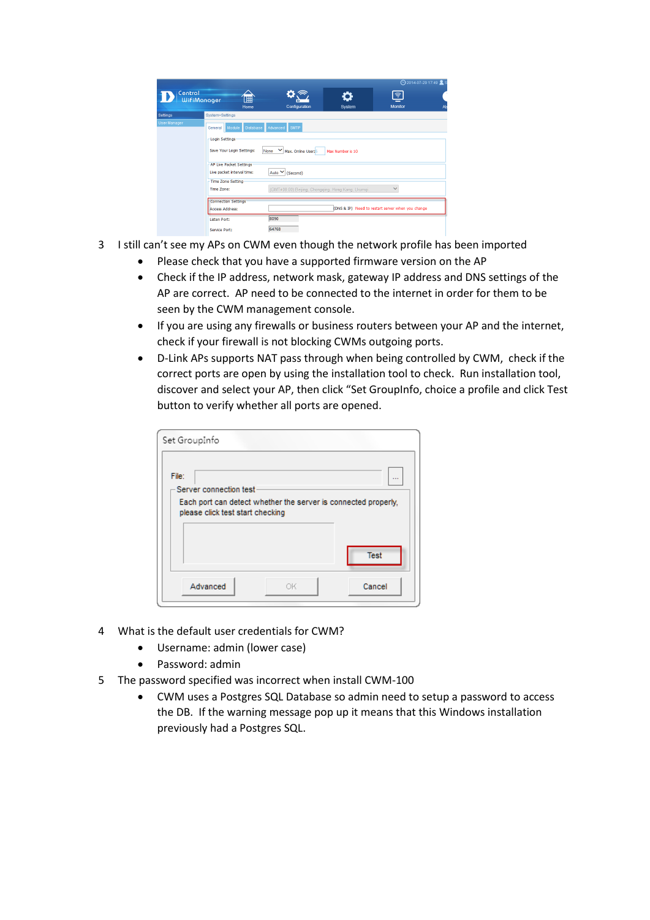|                     |                                                                                                                                                                                                            |                  |                                                                                                                             |                  | <b>⊙2014-07-29 17:49 € S</b>                                      |    |
|---------------------|------------------------------------------------------------------------------------------------------------------------------------------------------------------------------------------------------------|------------------|-----------------------------------------------------------------------------------------------------------------------------|------------------|-------------------------------------------------------------------|----|
| Central             | <b>WifiManager</b>                                                                                                                                                                                         | 「用<br>Home       | Configuration                                                                                                               | ΰ<br>System      | $\widehat{\mathcal{F}}$<br><b>Monitor</b>                         | Ab |
| Settings            | System>Settings                                                                                                                                                                                            |                  |                                                                                                                             |                  |                                                                   |    |
| <b>User Manager</b> | General Module<br>Login Settings<br>Save Your Login Settings:<br>AP Live Packet Settings<br>Live packet interval time:<br>Time Zone Setting<br>Time Zone:<br>Connection Settings<br><b>Access Address:</b> | Database<br>None | <b>SMTP</b><br>Advanced<br>╰<br>Max. Online User: 5<br>Auto V (Second)<br>(GMT+08:00) Beijing, Chongging, Hong Kong, Urumgi | Max Number is 10 | $\checkmark$<br>(DNS & IP) Need to restart server when you change |    |
|                     | Listen Port:<br>Service Port:                                                                                                                                                                              |                  | 8090<br>64768                                                                                                               |                  |                                                                   |    |

- 3 I still can't see my APs on CWM even though the network profile has been imported
	- Please check that you have a supported firmware version on the AP
	- Check if the IP address, network mask, gateway IP address and DNS settings of the AP are correct. AP need to be connected to the internet in order for them to be seen by the CWM management console.
	- If you are using any firewalls or business routers between your AP and the internet, check if your firewall is not blocking CWMs outgoing ports.
	- D-Link APs supports NAT pass through when being controlled by CWM, check if the correct ports are open by using the installation tool to check. Run installation tool, discover and select your AP, then click "Set GroupInfo, choice a profile and click Test button to verify whether all ports are opened.

| File:<br>-Server connection test-<br>Each port can detect whether the server is connected properly,<br>please click test start checking<br><b>Test</b> |  |          |
|--------------------------------------------------------------------------------------------------------------------------------------------------------|--|----------|
|                                                                                                                                                        |  | $\cdots$ |
|                                                                                                                                                        |  |          |
|                                                                                                                                                        |  |          |
|                                                                                                                                                        |  |          |
|                                                                                                                                                        |  |          |
|                                                                                                                                                        |  |          |
|                                                                                                                                                        |  |          |
|                                                                                                                                                        |  |          |
|                                                                                                                                                        |  |          |

- 4 What is the default user credentials for CWM?
	- Username: admin (lower case)
	- Password: admin
- 5 The password specified was incorrect when install CWM-100
	- CWM uses a Postgres SQL Database so admin need to setup a password to access the DB. If the warning message pop up it means that this Windows installation previously had a Postgres SQL.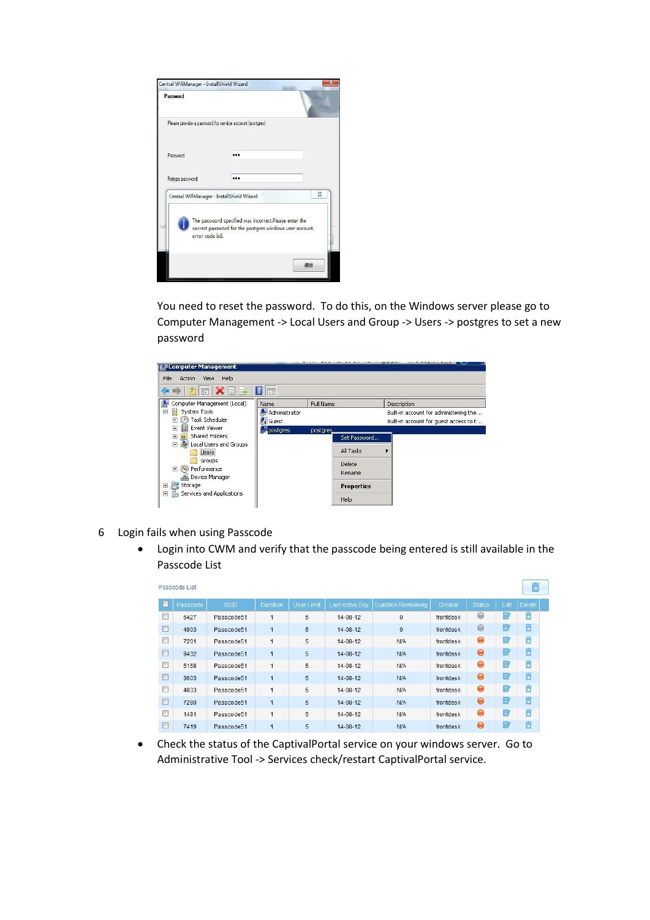| Password                                   |                                                                                                                  |    |
|--------------------------------------------|------------------------------------------------------------------------------------------------------------------|----|
|                                            | Please provide a password for service account (postgres)                                                         |    |
| Password                                   |                                                                                                                  |    |
| Retype password                            |                                                                                                                  |    |
| Central WifiManager - InstallShield Wizard |                                                                                                                  | X  |
| error code is6.                            | The password specified was incorrect.Please enter the<br>correct password for the postgres windows user account. |    |
|                                            |                                                                                                                  | 确定 |

You need to reset the password. To do this, on the Windows server please go to Computer Management -> Local Users and Group -> Users -> postgres to set a new password



- 6 Login fails when using Passcode
	- Login into CWM and verify that the passcode being entered is still available in the Passcode List

| Passcode List |          |            |                |                   |                 |                           |           |                |      | m                       |
|---------------|----------|------------|----------------|-------------------|-----------------|---------------------------|-----------|----------------|------|-------------------------|
| $\square$     | Passcode | SSID       | Duration       | <b>User Limit</b> | Last Active Day | <b>Duration Remaining</b> | Creator   | <b>Status</b>  | Edit | <b>Delete</b>           |
| E             | 6427     | Passcode51 | $\mathbf{1}$   | 5                 | 14-08-12        | $\bf{0}$                  | frontdesk | $\circledcirc$ | ۵    | m                       |
| $\Box$        | 4903     | Passcode51 | $\mathbf{1}$   | 5                 | 14-08-12        | $\mathbf{0}$              | frontdesk | $\Theta$       | ₿    | m                       |
| D             | 7201     | Passcode51 | 1              | 5                 | $14 - 08 - 12$  | <b>N/A</b>                | frontdesk | $\Theta$       | B    | Ħ                       |
| n             | 9432     | Passcode51 | 1              | 5                 | 14-08-12        | <b>N/A</b>                | frontdesk | $\Theta$       | B    | m                       |
| F             | 5158     | Passcode51 | $\overline{1}$ | 5                 | $14 - 08 - 12$  | <b>N/A</b>                | frontdesk | Θ              | B    | $\overline{\mathbf{u}}$ |
| n             | 3603     | Passcode51 | $\mathbf{1}$   | 5                 | 14-08-12        | <b>N/A</b>                | frontdesk | $\bullet$      | B    | m                       |
| n             | 4833     | Passcode51 | $\mathbf{1}$   | 5                 | 14-08-12        | <b>N/A</b>                | frontdesk | $\Theta$       | B    | m                       |
| $\Box$        | 7280     | Passcode51 | $\overline{1}$ | 5                 | $14 - 08 - 12$  | <b>N/A</b>                | frontdesk | $\Theta$       | B    | m                       |
| F             | 1481     | Passcode51 | $\overline{1}$ | 5                 | $14 - 08 - 12$  | <b>N/A</b>                | frontdesk | $\bullet$      | E    | m                       |
| F             | 7419     | Passcode51 | $\overline{1}$ | 5                 | $14 - 08 - 12$  | <b>N/A</b>                | frontdesk | $\Theta$       | B    | TO.                     |

 Check the status of the CaptivalPortal service on your windows server. Go to Administrative Tool -> Services check/restart CaptivalPortal service.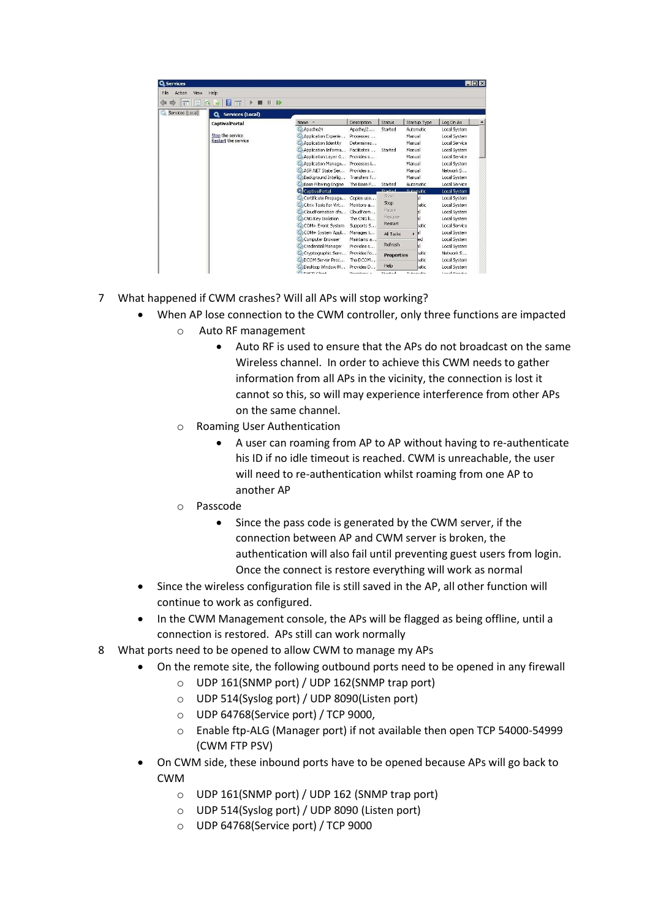| Action<br>File<br>View | Help                             |                                   |             |                   |              |                      |
|------------------------|----------------------------------|-----------------------------------|-------------|-------------------|--------------|----------------------|
| 岡<br>G                 | 12<br>開<br><b>ID</b><br>la,<br>Ш |                                   |             |                   |              |                      |
| Services (Local)       | C. Services (Local)              |                                   |             |                   |              |                      |
|                        | <b>CaptivalPortal</b>            | Name                              | Description | Status            | Startup Type | Log On As            |
|                        |                                  | Apache24                          | Apache/2    | Started           | Automatic    | Local System         |
|                        | Stop the service                 | C. Application Experie            | Processes   |                   | Manual       | Local System         |
|                        | <b>Restart the service</b>       | Application Identity              | Determines  |                   | Manual       | Local Service        |
|                        |                                  | Application Informa               | Facilitates | Started           | Manual       | Local System         |
|                        |                                  | C. Application Laver G            | Provides s  |                   | Manual       | <b>Local Service</b> |
|                        |                                  | C. Application Manage Processes i |             |                   | Manual       | Local System         |
|                        |                                  | CLASP, NET State Ser              | Provides s  |                   | Manual       | Network S            |
|                        |                                  | Background Intellig               | Transfers f |                   | Manual       | Local System         |
|                        |                                  | Base Filtering Engine             | The Base F  | Started           | Automatic    | Local Service        |
|                        |                                  | . CaptivalPortal                  |             | Sharbord          | Automatic    | Local System         |
|                        |                                  | C. Certificate Propaga            | Copies use  | Start:            |              | Local System         |
|                        |                                  | Citrix Tools for Virt             | Monitors a  | Stop              | latic        | Local System         |
|                        |                                  | CloudFormation cfn                | CloudForm   | Pause             |              | Local System         |
|                        |                                  | C. CNG Key Isolation              | The CNG k   | Resume            |              | Local System         |
|                        |                                  | C. COM+ Event System              | Supports S  | Restart           | hatic        | Local Service        |
|                        |                                  | C&COM+ System Appl                | Manages t   | All Tasks         | ы<br>٠       | Local System         |
|                        |                                  | Computer Browser                  | Maintains a |                   | led          | Local System         |
|                        |                                  | <sup>C</sup> Credential Manager   | Provides s  | Refresh           |              | Local System         |
|                        |                                  | C. Cryptographic Serv             | Provides fo | <b>Properties</b> | latic        | Network S            |
|                        |                                  | DCOM Server Proc                  | The DCOM    |                   | hatic        | Local System         |
|                        |                                  | C. Desktop Window M               | Provides D  | Help              | latic        | Local System         |
|                        |                                  | 103 num client                    | Domichove a | Chrysled          | Andrews skie | Local Consider       |

- 7 What happened if CWM crashes? Will all APs will stop working?
	- When AP lose connection to the CWM controller, only three functions are impacted
		- o Auto RF management
			- Auto RF is used to ensure that the APs do not broadcast on the same Wireless channel. In order to achieve this CWM needs to gather information from all APs in the vicinity, the connection is lost it cannot so this, so will may experience interference from other APs on the same channel.
		- o Roaming User Authentication
			- A user can roaming from AP to AP without having to re-authenticate his ID if no idle timeout is reached. CWM is unreachable, the user will need to re-authentication whilst roaming from one AP to another AP
		- o Passcode
			- Since the pass code is generated by the CWM server, if the connection between AP and CWM server is broken, the authentication will also fail until preventing guest users from login. Once the connect is restore everything will work as normal
	- Since the wireless configuration file is still saved in the AP, all other function will continue to work as configured.
	- In the CWM Management console, the APs will be flagged as being offline, until a connection is restored. APs still can work normally
- 8 What ports need to be opened to allow CWM to manage my APs
	- On the remote site, the following outbound ports need to be opened in any firewall
		- o UDP 161(SNMP port) / UDP 162(SNMP trap port)
		- o UDP 514(Syslog port) / UDP 8090(Listen port)
		- o UDP 64768(Service port) / TCP 9000,
		- o Enable ftp-ALG (Manager port) if not available then open TCP 54000-54999 (CWM FTP PSV)
		- On CWM side, these inbound ports have to be opened because APs will go back to CWM
			- o UDP 161(SNMP port) / UDP 162 (SNMP trap port)
			- o UDP 514(Syslog port) / UDP 8090 (Listen port)
			- o UDP 64768(Service port) / TCP 9000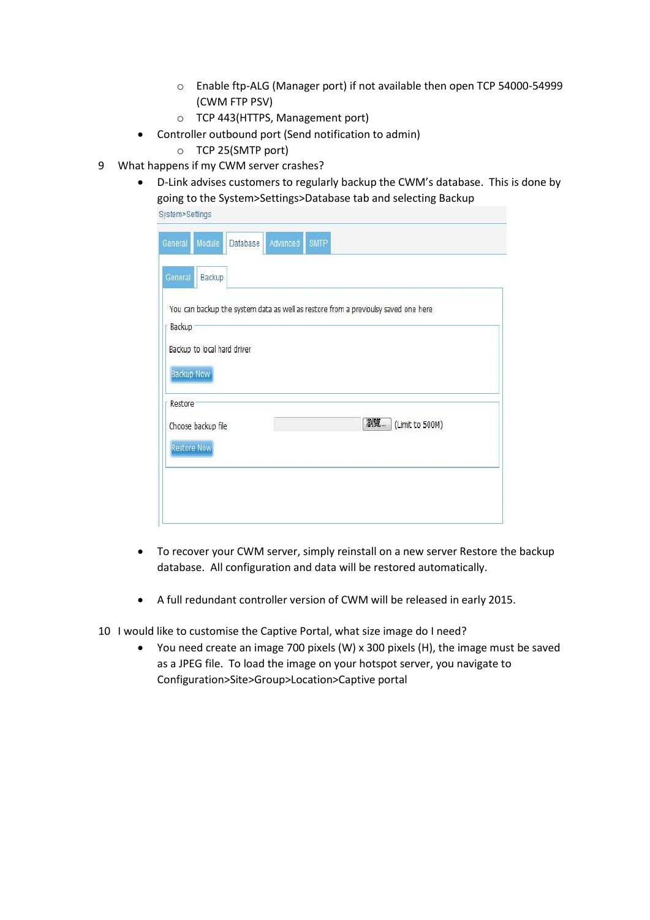- o Enable ftp-ALG (Manager port) if not available then open TCP 54000-54999 (CWM FTP PSV)
- o TCP 443(HTTPS, Management port)
- Controller outbound port (Send notification to admin)
	- o TCP 25(SMTP port)
- 9 What happens if my CWM server crashes?
	- D-Link advises customers to regularly backup the CWM's database. This is done by going to the System>Settings>Database tab and selecting Backup

| system>seπings     |                             |                                                                                    |          |             |    |                 |  |
|--------------------|-----------------------------|------------------------------------------------------------------------------------|----------|-------------|----|-----------------|--|
| General            | Module                      | <b>Database</b>                                                                    | Advanced | <b>SMTP</b> |    |                 |  |
| General            | Backup                      |                                                                                    |          |             |    |                 |  |
|                    |                             | You can backup the system data as well as restore from a previoulsy saved one here |          |             |    |                 |  |
| Backup             |                             |                                                                                    |          |             |    |                 |  |
|                    | Backup to local hard driver |                                                                                    |          |             |    |                 |  |
| <b>Backup Now</b>  |                             |                                                                                    |          |             |    |                 |  |
| Restore            |                             |                                                                                    |          |             |    |                 |  |
|                    | Choose backup file          |                                                                                    |          |             | 瀏覽 | (Limit to 500M) |  |
| <b>Restore Now</b> |                             |                                                                                    |          |             |    |                 |  |
|                    |                             |                                                                                    |          |             |    |                 |  |
|                    |                             |                                                                                    |          |             |    |                 |  |
|                    |                             |                                                                                    |          |             |    |                 |  |
|                    |                             |                                                                                    |          |             |    |                 |  |

- To recover your CWM server, simply reinstall on a new server Restore the backup database. All configuration and data will be restored automatically.
- A full redundant controller version of CWM will be released in early 2015.
- 10 I would like to customise the Captive Portal, what size image do I need?
	- You need create an image 700 pixels (W) x 300 pixels (H), the image must be saved as a JPEG file. To load the image on your hotspot server, you navigate to Configuration>Site>Group>Location>Captive portal